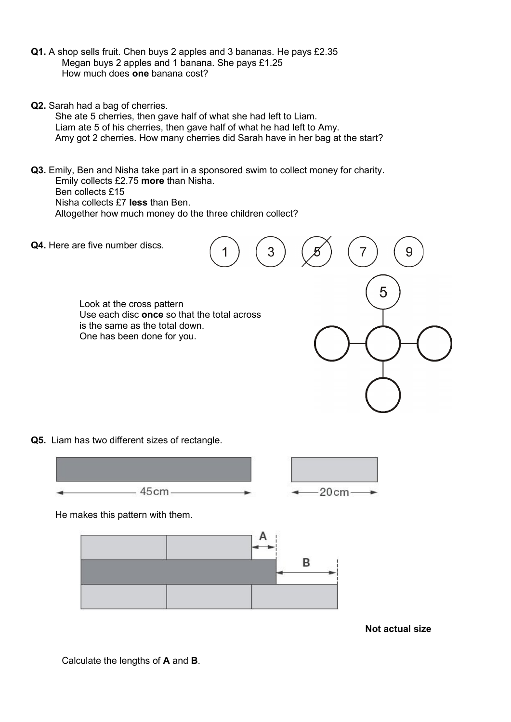- Q1. A shop sells fruit. Chen buys 2 apples and 3 bananas. He pays £2.35 Megan buys 2 apples and 1 banana. She pays £1.25 How much does one banana cost?
- Q2. Sarah had a bag of cherries.

She ate 5 cherries, then gave half of what she had left to Liam. Liam ate 5 of his cherries, then gave half of what he had left to Amy. Amy got 2 cherries. How many cherries did Sarah have in her bag at the start?

Q3. Emily, Ben and Nisha take part in a sponsored swim to collect money for charity. Emily collects £2.75 more than Nisha. Ben collects £15 Nisha collects £7 less than Ben. Altogether how much money do the three children collect?

Q4. Here are five number discs.

 Look at the cross pattern Use each disc once so that the total across is the same as the total down. One has been done for you.

Q5. Liam has two different sizes of rectangle.



He makes this pattern with them.



Not actual size

9

7

5

Calculate the lengths of A and B.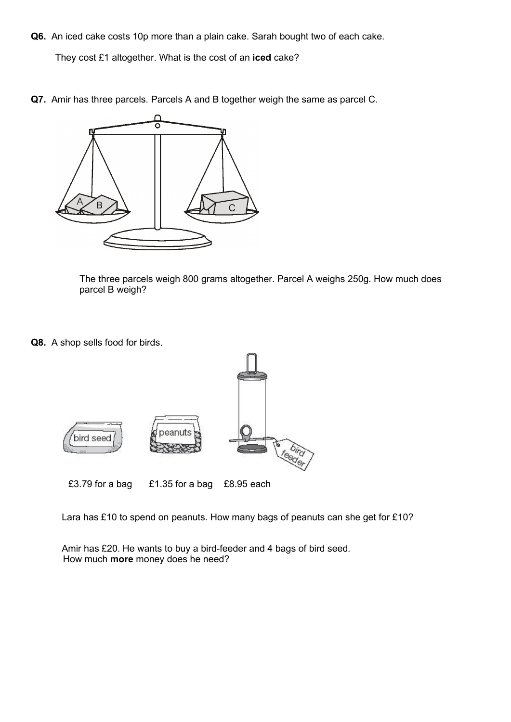Q6. An iced cake costs 10p more than a plain cake. Sarah bought two of each cake.

They cost £1 altogether. What is the cost of an iced cake?

Q7. Amir has three parcels. Parcels A and B together weigh the same as parcel C.



The three parcels weigh 800 grams altogether. Parcel A weighs 250g. How much does parcel B weigh?

Q8. A shop sells food for birds.



Lara has £10 to spend on peanuts. How many bags of peanuts can she get for £10?

 Amir has £20. He wants to buy a bird-feeder and 4 bags of bird seed. How much more money does he need?